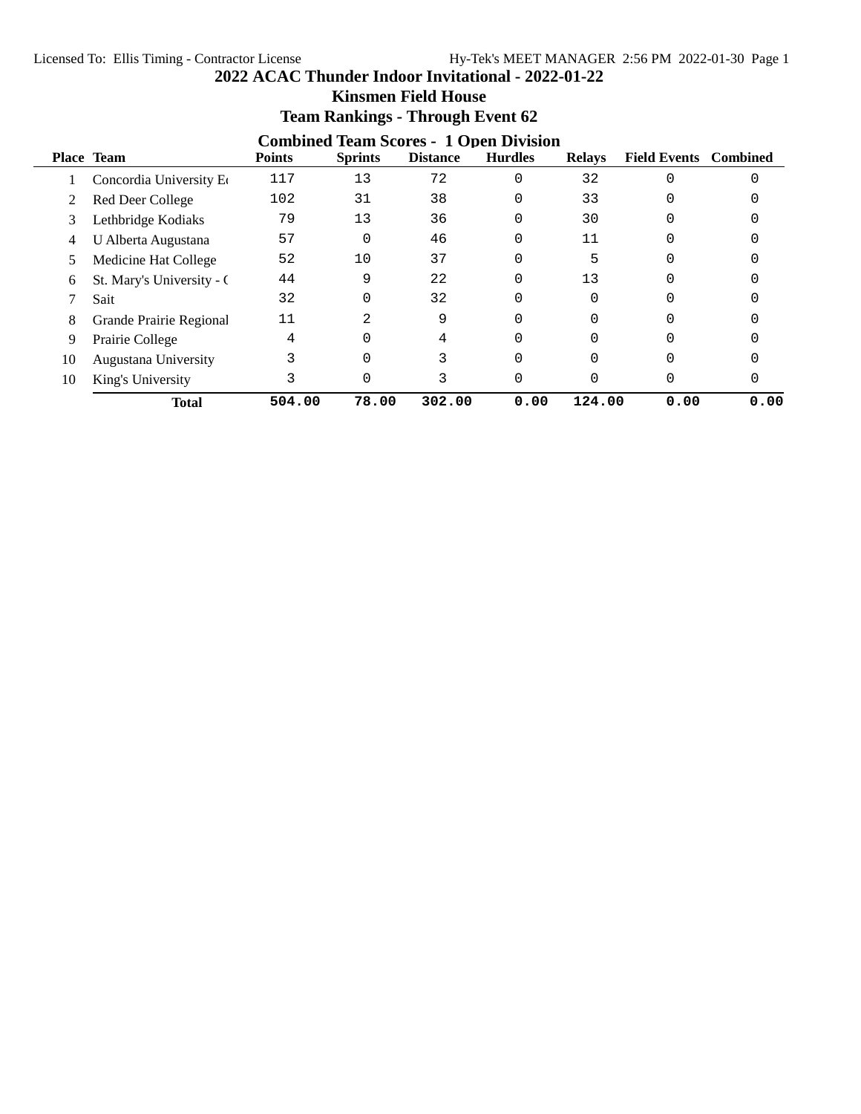| 2022 ACAC Thunder Indoor Invitational - 2022-01-22 |  |  |  |
|----------------------------------------------------|--|--|--|
|----------------------------------------------------|--|--|--|

|    | <b>Combined Team Scores - 1 Open Division</b> |               |                |                 |                |               |                              |      |  |  |  |
|----|-----------------------------------------------|---------------|----------------|-----------------|----------------|---------------|------------------------------|------|--|--|--|
|    | <b>Place Team</b>                             | <b>Points</b> | <b>Sprints</b> | <b>Distance</b> | <b>Hurdles</b> | <b>Relays</b> | <b>Field Events</b> Combined |      |  |  |  |
|    | Concordia University Eq                       | 117           | 13             | 72              | 0              | 32            |                              |      |  |  |  |
| 2  | Red Deer College                              | 102           | 31             | 38              | 0              | 33            |                              |      |  |  |  |
| 3  | Lethbridge Kodiaks                            | 79            | 13             | 36              | 0              | 30            |                              |      |  |  |  |
| 4  | U Alberta Augustana                           | 57            | 0              | 46              | 0              | 11            |                              |      |  |  |  |
| 5  | Medicine Hat College                          | 52            | 10             | 37              | 0              | 5             |                              |      |  |  |  |
| 6  | St. Mary's University - C                     | 44            | 9              | 22              | 0              | 13            |                              |      |  |  |  |
|    | Sait                                          | 32            | 0              | 32              | 0              |               |                              |      |  |  |  |
| 8  | Grande Prairie Regional                       | 11            | 2              | 9               | 0              |               |                              |      |  |  |  |
| 9  | Prairie College                               |               | $\Omega$       | 4               |                |               |                              |      |  |  |  |
| 10 | Augustana University                          |               | $\Omega$       | 3               | O              |               |                              |      |  |  |  |
| 10 | King's University                             | 3             | 0              | 3               | 0              |               | 0                            |      |  |  |  |
|    | <b>Total</b>                                  | 504.00        | 78.00          | 302.00          | 0.00           | 124.00        | 0.00                         | 0.00 |  |  |  |

# **Kinsmen Field House Team Rankings - Through Event 62**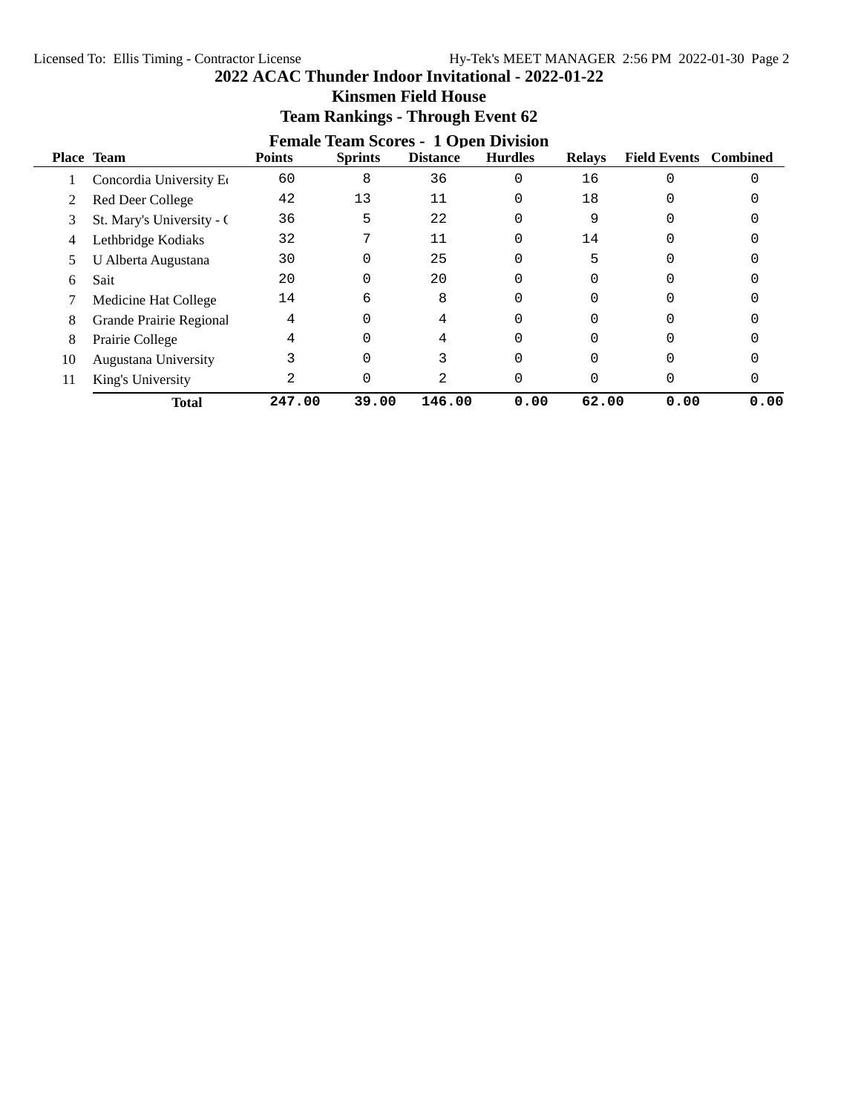|                           |               |                | -----           |                |                                             |      |                              |
|---------------------------|---------------|----------------|-----------------|----------------|---------------------------------------------|------|------------------------------|
| Place Team                | <b>Points</b> | <b>Sprints</b> | <b>Distance</b> | <b>Hurdles</b> | <b>Relays</b>                               |      | <b>Combined</b>              |
| Concordia University Eq   | 60            | 8              | 36              | $\Omega$       | 16                                          |      |                              |
| Red Deer College          | 42            | 13             | 11              | 0              | 18                                          |      |                              |
| St. Mary's University - C | 36            | 5              | 22              |                | 9                                           |      |                              |
| Lethbridge Kodiaks        | 32            | 7              | 11              | 0              | 14                                          |      |                              |
| U Alberta Augustana       | 30            | 0              | 25              | 0              | 5                                           |      |                              |
| Sait                      | 20            | 0              | 20              | 0              |                                             |      |                              |
| Medicine Hat College      | 14            | 6              | 8               |                |                                             |      |                              |
| Grande Prairie Regional   | 4             | 0              | 4               |                |                                             |      |                              |
| Prairie College           |               | 0              |                 |                |                                             |      |                              |
| Augustana University      |               | $\Omega$       |                 |                |                                             |      |                              |
| King's University         |               | 0              | 2               | 0              |                                             | 0    |                              |
| <b>Total</b>              | 247.00        | 39.00          | 146.00          | 0.00           |                                             | 0.00 | 0.00                         |
|                           |               |                |                 |                | <b>Female Team Scores - 1 Open Division</b> |      | <b>Field Events</b><br>62.00 |

# **Kinsmen Field House Team Rankings - Through Event 62**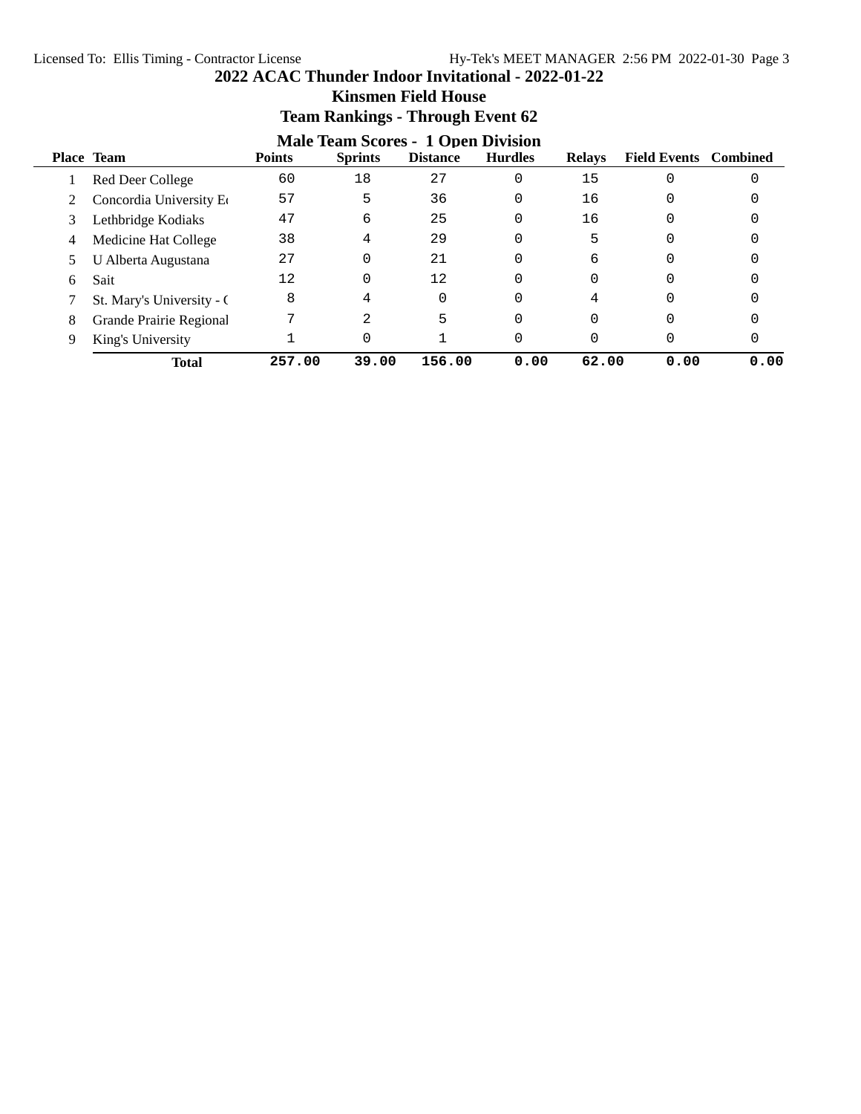|   |                           |               | Team Rankings - Through Event oz                            |                 |                |               |                              |      |
|---|---------------------------|---------------|-------------------------------------------------------------|-----------------|----------------|---------------|------------------------------|------|
|   | Place Team                | <b>Points</b> | <b>Male Team Scores - 1 Open Division</b><br><b>Sprints</b> | <b>Distance</b> | <b>Hurdles</b> | <b>Relays</b> | <b>Field Events</b> Combined |      |
|   | Red Deer College          | 60            | 18                                                          | 27              | 0              | 15            |                              |      |
|   | Concordia University Eq   | 57            | 5                                                           | 36              | 0              | 16            |                              |      |
| 3 | Lethbridge Kodiaks        | 47            | 6                                                           | 25              | 0              | 16            | O                            |      |
| 4 | Medicine Hat College      | 38            | 4                                                           | 29              | 0              | 5             | O                            |      |
|   | U Alberta Augustana       | 27            | 0                                                           | 21              | 0              | 6             | O                            |      |
| 6 | Sait                      | 12            | 0                                                           | 12              | 0              | $\Omega$      | n                            |      |
|   | St. Mary's University - C | 8             | 4                                                           | 0               | 0              | 4             | $\Omega$                     |      |
| 8 | Grande Prairie Regional   |               | 2                                                           | 5               | 0              | $\Omega$      | $\Omega$                     |      |
| 9 | King's University         |               |                                                             |                 | 0              | $\Omega$      | O                            |      |
|   | <b>Total</b>              | 257.00        | 39.00                                                       | 156.00          | 0.00           | 62.00         | 0.00                         | 0.00 |

## **Kinsmen Field House Team Rankings - Through Event 62**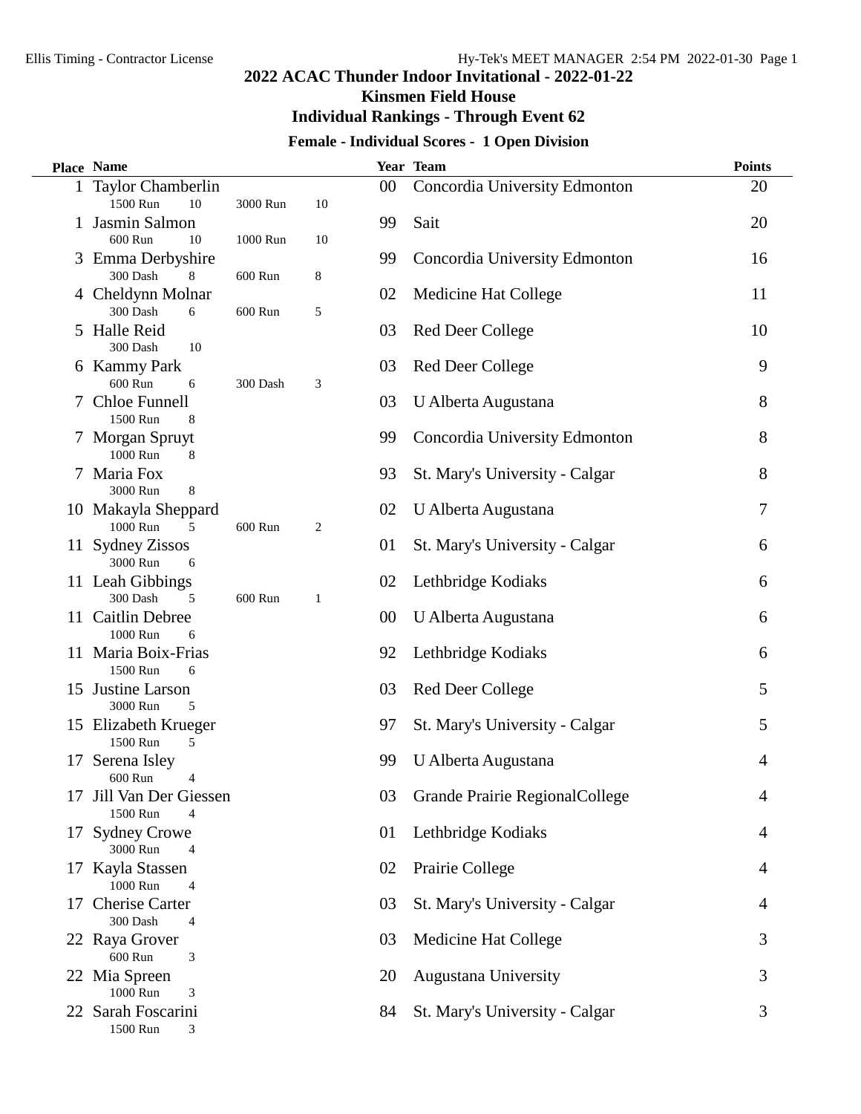**Kinsmen Field House**

## **Individual Rankings - Through Event 62**

## **Female - Individual Scores - 1 Open Division**

|    | <b>Place Name</b>                    |          |    |    | Year Team                      | <b>Points</b> |
|----|--------------------------------------|----------|----|----|--------------------------------|---------------|
|    | 1 Taylor Chamberlin                  |          |    | 00 | Concordia University Edmonton  | 20            |
|    | 1500 Run<br>10                       | 3000 Run | 10 |    |                                |               |
|    | 1 Jasmin Salmon                      |          |    | 99 | Sait                           | 20            |
|    | 600 Run<br>10                        | 1000 Run | 10 |    |                                |               |
|    | 3 Emma Derbyshire                    |          |    | 99 | Concordia University Edmonton  | 16            |
|    | 300 Dash<br>8                        | 600 Run  | 8  |    |                                |               |
|    | 4 Cheldynn Molnar                    |          |    | 02 | Medicine Hat College           | 11            |
|    | 300 Dash<br>6                        | 600 Run  | 5  |    |                                |               |
|    | 5 Halle Reid<br>300 Dash<br>10       |          |    | 03 | <b>Red Deer College</b>        | 10            |
|    | 6 Kammy Park                         |          |    | 03 | <b>Red Deer College</b>        | 9             |
|    | 600 Run<br>6                         | 300 Dash | 3  |    |                                |               |
|    | Chloe Funnell                        |          |    | 03 | U Alberta Augustana            | 8             |
|    | 1500 Run<br>8                        |          |    |    |                                |               |
|    | 7 Morgan Spruyt                      |          |    | 99 | Concordia University Edmonton  | 8             |
|    | 1000 Run<br>8                        |          |    |    |                                |               |
|    | 7 Maria Fox                          |          |    | 93 | St. Mary's University - Calgar | 8             |
|    | 3000 Run<br>8                        |          |    |    |                                |               |
|    | 10 Makayla Sheppard                  |          |    | 02 | U Alberta Augustana            | 7             |
|    | 1000 Run<br>5                        | 600 Run  | 2  |    |                                |               |
|    | 11 Sydney Zissos                     |          |    | 01 | St. Mary's University - Calgar | 6             |
|    | 3000 Run<br>6                        |          |    |    |                                |               |
|    | 11 Leah Gibbings                     |          |    | 02 | Lethbridge Kodiaks             | 6             |
|    | 300 Dash<br>5                        | 600 Run  | 1  |    |                                |               |
|    | 11 Caitlin Debree                    |          |    | 00 | U Alberta Augustana            | 6             |
|    | 1000 Run<br>6                        |          |    |    |                                |               |
|    | 11 Maria Boix-Frias<br>1500 Run<br>6 |          |    | 92 | Lethbridge Kodiaks             | 6             |
|    | 15 Justine Larson                    |          |    | 03 | <b>Red Deer College</b>        | 5             |
|    | 3000 Run<br>5                        |          |    |    |                                |               |
|    | 15 Elizabeth Krueger                 |          |    | 97 | St. Mary's University - Calgar | 5             |
|    | 1500 Run<br>5                        |          |    |    |                                |               |
| 17 | Serena Isley                         |          |    | 99 | U Alberta Augustana            | 4             |
|    | 600 Run<br>4                         |          |    |    |                                |               |
| 17 | Jill Van Der Giessen                 |          |    | 03 | Grande Prairie RegionalCollege | 4             |
|    | 1500 Run<br>4                        |          |    |    |                                |               |
| 17 | <b>Sydney Crowe</b>                  |          |    | 01 | Lethbridge Kodiaks             | 4             |
|    | 3000 Run<br>$\overline{4}$           |          |    |    |                                |               |
|    | 17 Kayla Stassen                     |          |    | 02 | Prairie College                | 4             |
|    | 1000 Run<br>4                        |          |    |    |                                |               |
|    | 17 Cherise Carter                    |          |    | 03 | St. Mary's University - Calgar | 4             |
|    | 300 Dash<br>4                        |          |    |    |                                |               |
|    | 22 Raya Grover<br>600 Run            |          |    | 03 | Medicine Hat College           | 3             |
|    | 3<br>22 Mia Spreen                   |          |    | 20 | Augustana University           | 3             |
|    | 1000 Run<br>3                        |          |    |    |                                |               |
|    | 22 Sarah Foscarini                   |          |    | 84 | St. Mary's University - Calgar | 3             |
|    | 1500 Run<br>3                        |          |    |    |                                |               |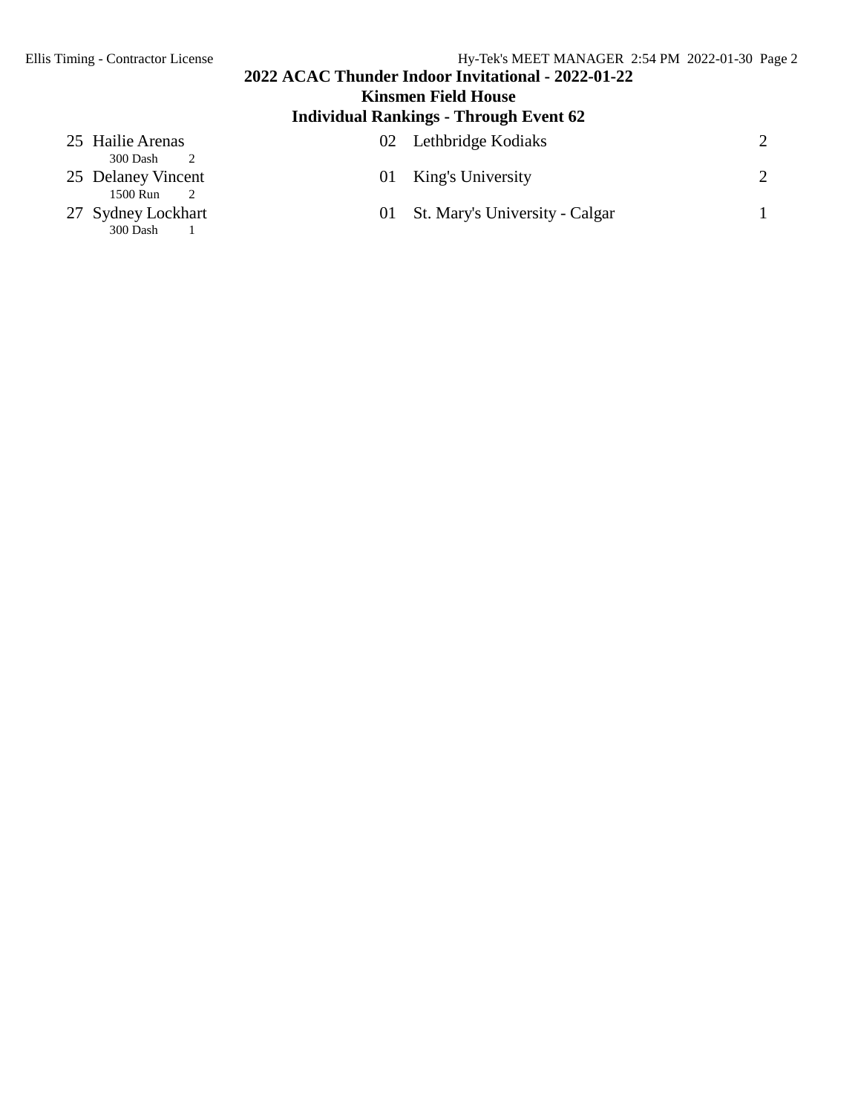## **2022 ACAC Thunder Indoor Invitational - 2022-01-22 Kinsmen Field House**

# **Individual Rankings - Through Event 62**

| 25 Hailie Arenas<br>300 Dash   |    | 02 Lethbridge Kodiaks             |  |
|--------------------------------|----|-----------------------------------|--|
| 25 Delaney Vincent<br>1500 Run | 01 | King's University                 |  |
| 27 Sydney Lockhart<br>300 Dash |    | 01 St. Mary's University - Calgar |  |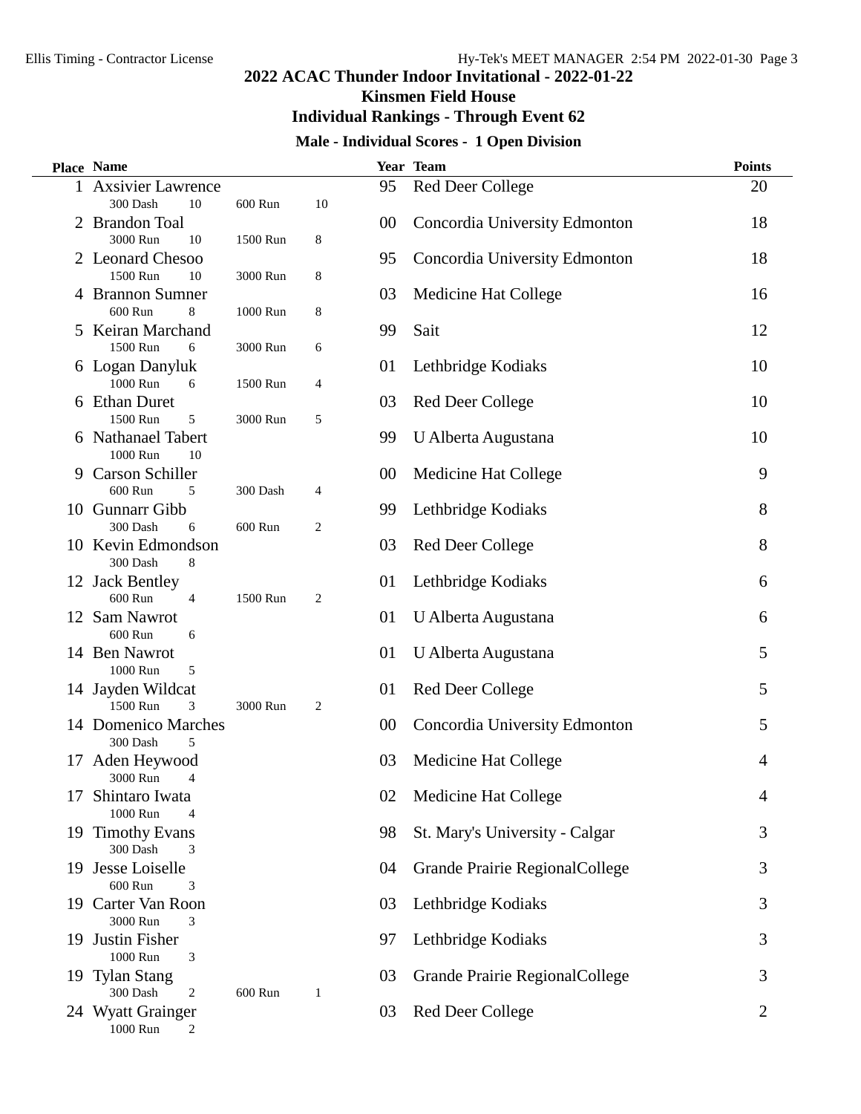**Kinsmen Field House**

## **Individual Rankings - Through Event 62**

## **Male - Individual Scores - 1 Open Division**

|    | <b>Place Name</b>                            |          |                |        | Year Team                      | <b>Points</b> |
|----|----------------------------------------------|----------|----------------|--------|--------------------------------|---------------|
| 1  | <b>Axsivier Lawrence</b>                     |          |                | 95     | Red Deer College               | 20            |
|    | 300 Dash<br>10                               | 600 Run  | 10             |        |                                |               |
| 2  | <b>Brandon Toal</b>                          |          |                | 00     | Concordia University Edmonton  | 18            |
|    | 3000 Run<br>10                               | 1500 Run | 8              |        |                                |               |
|    | 2 Leonard Chesoo                             |          |                | 95     | Concordia University Edmonton  | 18            |
|    | 1500 Run<br>10                               | 3000 Run | 8              |        |                                |               |
|    | 4 Brannon Sumner                             |          |                | 03     | Medicine Hat College           | 16            |
|    | 600 Run<br>8                                 | 1000 Run | 8              |        |                                |               |
|    | 5 Keiran Marchand                            |          |                | 99     | Sait                           | 12            |
|    | 1500 Run<br>6                                | 3000 Run | 6              |        |                                |               |
|    | 6 Logan Danyluk                              |          |                | 01     | Lethbridge Kodiaks             | 10            |
|    | 1000 Run<br>6                                | 1500 Run | 4              |        |                                |               |
|    | 6 Ethan Duret                                |          |                | 03     | <b>Red Deer College</b>        | 10            |
|    | 1500 Run<br>5                                | 3000 Run | 5              |        |                                |               |
|    | 6 Nathanael Tabert<br>1000 Run<br>10         |          |                | 99     | U Alberta Augustana            | 10            |
|    | 9 Carson Schiller                            |          |                |        | Medicine Hat College           | 9             |
|    | 600 Run<br>5                                 | 300 Dash | 4              | 00     |                                |               |
|    | 10 Gunnarr Gibb                              |          |                | 99     | Lethbridge Kodiaks             | 8             |
|    | 300 Dash<br>6                                | 600 Run  | $\overline{2}$ |        |                                |               |
|    | 10 Kevin Edmondson                           |          |                | 03     | <b>Red Deer College</b>        | 8             |
|    | 8<br>300 Dash                                |          |                |        |                                |               |
|    | 12 Jack Bentley                              |          |                | 01     | Lethbridge Kodiaks             | 6             |
|    | 600 Run<br>4                                 | 1500 Run | $\overline{2}$ |        |                                |               |
|    | 12 Sam Nawrot                                |          |                | 01     | U Alberta Augustana            | 6             |
|    | 600 Run<br>6                                 |          |                |        |                                |               |
|    | 14 Ben Nawrot                                |          |                | 01     | U Alberta Augustana            | 5             |
|    | 1000 Run<br>5                                |          |                |        |                                |               |
|    | 14 Jayden Wildcat                            |          |                | 01     | <b>Red Deer College</b>        | 5             |
|    | 1500 Run<br>3                                | 3000 Run | $\overline{2}$ |        |                                |               |
|    | 14 Domenico Marches                          |          |                | $00\,$ | Concordia University Edmonton  | 5             |
|    | 5<br>300 Dash                                |          |                |        |                                |               |
| 17 | Aden Heywood                                 |          |                | 03     | Medicine Hat College           | 4             |
|    | 3000 Run<br>4                                |          |                |        |                                |               |
| 17 | Shintaro Iwata                               |          |                | 02     | Medicine Hat College           | 4             |
|    | 1000 Run<br>$\overline{4}$                   |          |                |        |                                |               |
|    | 19 Timothy Evans                             |          |                | 98     | St. Mary's University - Calgar | 3             |
|    | 300 Dash<br>3                                |          |                |        |                                |               |
|    | 19 Jesse Loiselle                            |          |                | 04     | Grande Prairie RegionalCollege | 3             |
|    | 600 Run<br>3                                 |          |                |        |                                |               |
|    | 19 Carter Van Roon                           |          |                | 03     | Lethbridge Kodiaks             | 3             |
|    | 3000 Run<br>3                                |          |                |        |                                |               |
|    | 19 Justin Fisher<br>1000 Run                 |          |                | 97     | Lethbridge Kodiaks             | 3             |
|    | 3                                            |          |                | 03     | Grande Prairie RegionalCollege | 3             |
|    | 19 Tylan Stang<br>300 Dash<br>$\overline{2}$ | 600 Run  | 1              |        |                                |               |
|    | 24 Wyatt Grainger                            |          |                | 03     | <b>Red Deer College</b>        | 2             |
|    | 1000 Run<br>2                                |          |                |        |                                |               |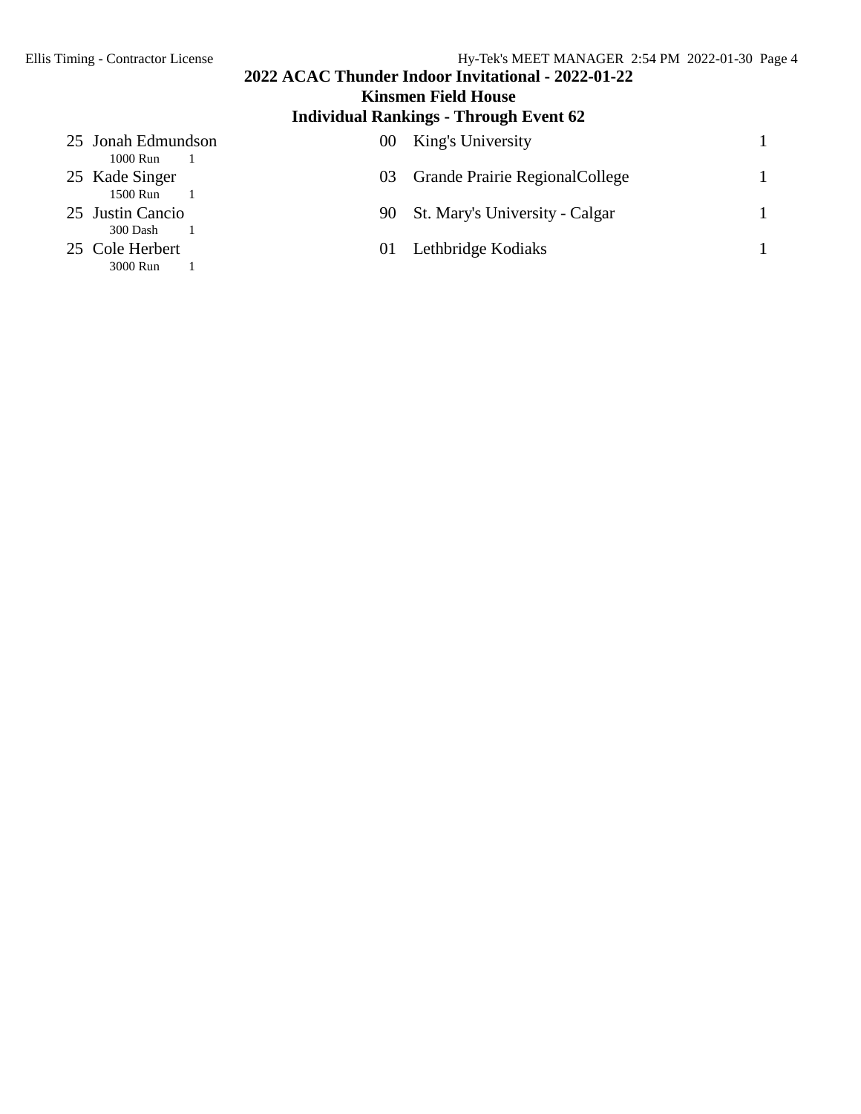# **2022 ACAC Thunder Indoor Invitational - 2022-01-22 Kinsmen Field House**

# **Individual Rankings - Through Event 62**

| 25 Jonah Edmundson<br>1000 Run | $00^{\circ}$ | King's University                      |  |
|--------------------------------|--------------|----------------------------------------|--|
| 25 Kade Singer<br>1500 Run     | 03           | <b>Grande Prairie Regional College</b> |  |
| 25 Justin Cancio<br>300 Dash   | 90           | St. Mary's University - Calgar         |  |
| 25 Cole Herbert<br>3000 Run    | 01           | Lethbridge Kodiaks                     |  |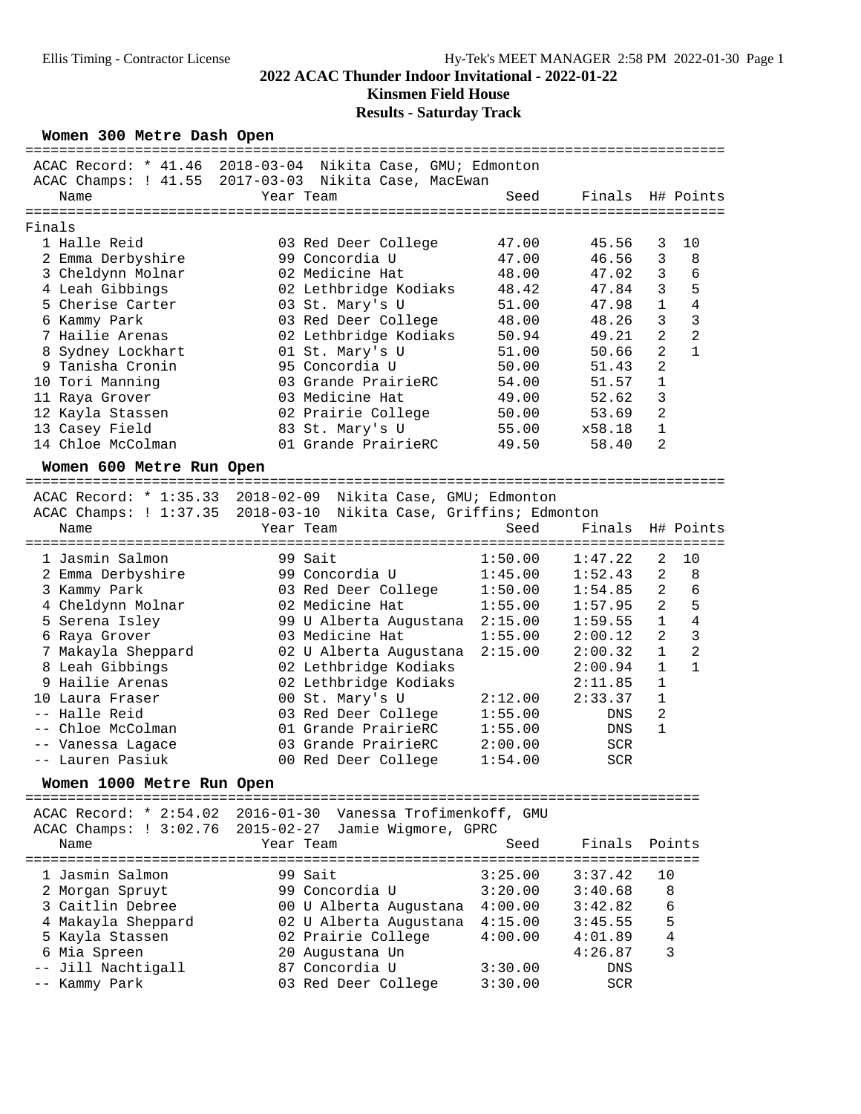## **Kinsmen Field House**

### **Results - Saturday Track**

| Women 300 Metre Dash Open |                                                              |         |            |                |                |
|---------------------------|--------------------------------------------------------------|---------|------------|----------------|----------------|
|                           | ACAC Record: * 41.46 2018-03-04 Nikita Case, GMU; Edmonton   |         |            |                |                |
|                           | ACAC Champs: ! 41.55 2017-03-03 Nikita Case, MacEwan         |         |            |                |                |
| Name                      | Year Team                                                    | Seed    | Finals     |                | H# Points      |
|                           |                                                              |         |            |                |                |
| Finals                    |                                                              |         |            |                |                |
| 1 Halle Reid              | 03 Red Deer College                                          | 47.00   | 45.56      | 3              | 10             |
| 2 Emma Derbyshire         | 99 Concordia U                                               | 47.00   | 46.56      | 3              | 8              |
| 3 Cheldynn Molnar         | 02 Medicine Hat                                              | 48.00   | 47.02      | 3              | 6              |
| 4 Leah Gibbings           | 02 Lethbridge Kodiaks                                        | 48.42   | 47.84      | 3              | 5              |
| 5 Cherise Carter          | 03 St. Mary's U                                              | 51.00   | 47.98      | $\mathbf{1}$   | $\overline{4}$ |
| 6 Kammy Park              | 03 Red Deer College                                          | 48.00   | 48.26      | 3              | 3              |
| 7 Hailie Arenas           | 02 Lethbridge Kodiaks                                        | 50.94   | 49.21      | 2              | $\overline{2}$ |
| 8 Sydney Lockhart         | 01 St. Mary's U                                              | 51.00   | 50.66      | $\overline{2}$ | $\mathbf{1}$   |
| 9 Tanisha Cronin          | 95 Concordia U                                               | 50.00   | 51.43      | $\overline{a}$ |                |
| 10 Tori Manning           | 03 Grande PrairieRC                                          | 54.00   | 51.57      | $\mathbf{1}$   |                |
| 11 Raya Grover            | 03 Medicine Hat                                              | 49.00   | 52.62      | 3              |                |
| 12 Kayla Stassen          | 02 Prairie College                                           | 50.00   | 53.69      | $\overline{2}$ |                |
| 13 Casey Field            | 83 St. Mary's U                                              | 55.00   | x58.18     | 1              |                |
| 14 Chloe McColman         | 01 Grande PrairieRC                                          | 49.50   | 58.40      | $\overline{2}$ |                |
| Women 600 Metre Run Open  |                                                              |         |            |                |                |
|                           |                                                              |         |            |                |                |
|                           | ACAC Record: * 1:35.33 2018-02-09 Nikita Case, GMU; Edmonton |         |            |                |                |
| ACAC Champs: ! 1:37.35    | 2018-03-10 Nikita Case, Griffins; Edmonton                   |         |            |                |                |
| Name                      | Year Team                                                    | Seed    | Finals     |                | H# Points      |
|                           |                                                              |         |            |                |                |
| 1 Jasmin Salmon           | 99 Sait                                                      | 1:50.00 | 1:47.22    | 2              | 10             |
| 2 Emma Derbyshire         | 99 Concordia U                                               | 1:45.00 | 1:52.43    | $\overline{2}$ | 8              |
| 3 Kammy Park              | 03 Red Deer College                                          | 1:50.00 | 1:54.85    | 2              | 6              |
| 4 Cheldynn Molnar         | 02 Medicine Hat                                              | 1:55.00 | 1:57.95    | 2              | 5              |
| 5 Serena Isley            | 99 U Alberta Augustana 2:15.00                               |         | 1:59.55    | $\mathbf{1}$   | 4              |
| 6 Raya Grover             | 03 Medicine Hat                                              | 1:55.00 | 2:00.12    | 2              | 3              |
| 7 Makayla Sheppard        | 02 U Alberta Augustana                                       | 2:15.00 | 2:00.32    | $\mathbf 1$    | $\overline{2}$ |
| 8 Leah Gibbings           | 02 Lethbridge Kodiaks                                        |         | 2:00.94    | $\mathbf{1}$   | $\mathbf{1}$   |
| 9 Hailie Arenas           | 02 Lethbridge Kodiaks                                        |         | 2:11.85    | $\mathbf{1}$   |                |
| 10 Laura Fraser           | 00 St. Mary's U                                              | 2:12.00 | 2:33.37    | $\mathbf{1}$   |                |
| -- Halle Reid             | 03 Red Deer College                                          | 1:55.00 | DNS        | $\overline{2}$ |                |
| -- Chloe McColman         | 01 Grande PrairieRC                                          | 1:55.00 | DNS        | $\mathbf{1}$   |                |
| -- Vanessa Lagace         | 03 Grande PrairieRC                                          | 2:00.00 | <b>SCR</b> |                |                |
| -- Lauren Pasiuk          | 00 Red Deer College                                          | 1:54.00 | <b>SCR</b> |                |                |

**Women 1000 Metre Run Open** ================================================================================ ACAC Record: \* 2:54.02 2016-01-30 Vanessa Trofimenkoff, GMU ACAC Champs: ! 3:02.76 2015-02-27 Jamie Wigmore, GPRC Name 1988 Mame Team Name Seed Finals Points ================================================================================ 1 Jasmin Salmon 99 Sait 3:25.00 3:37.42 10 2 Morgan Spruyt 99 Concordia U 3:20.00 3:40.68 8 3 Caitlin Debree 00 U Alberta Augustana 4:00.00 3:42.82 6 4 Makayla Sheppard 02 U Alberta Augustana 4:15.00 3:45.55 5 5 Kayla Stassen 02 Prairie College 4:00.00 4:01.89 4 6 Mia Spreen 20 Augustana Un 4:26.87 3 -- Jill Nachtigall 87 Concordia U 3:30.00 DNS -- Kammy Park 03 Red Deer College 3:30.00 SCR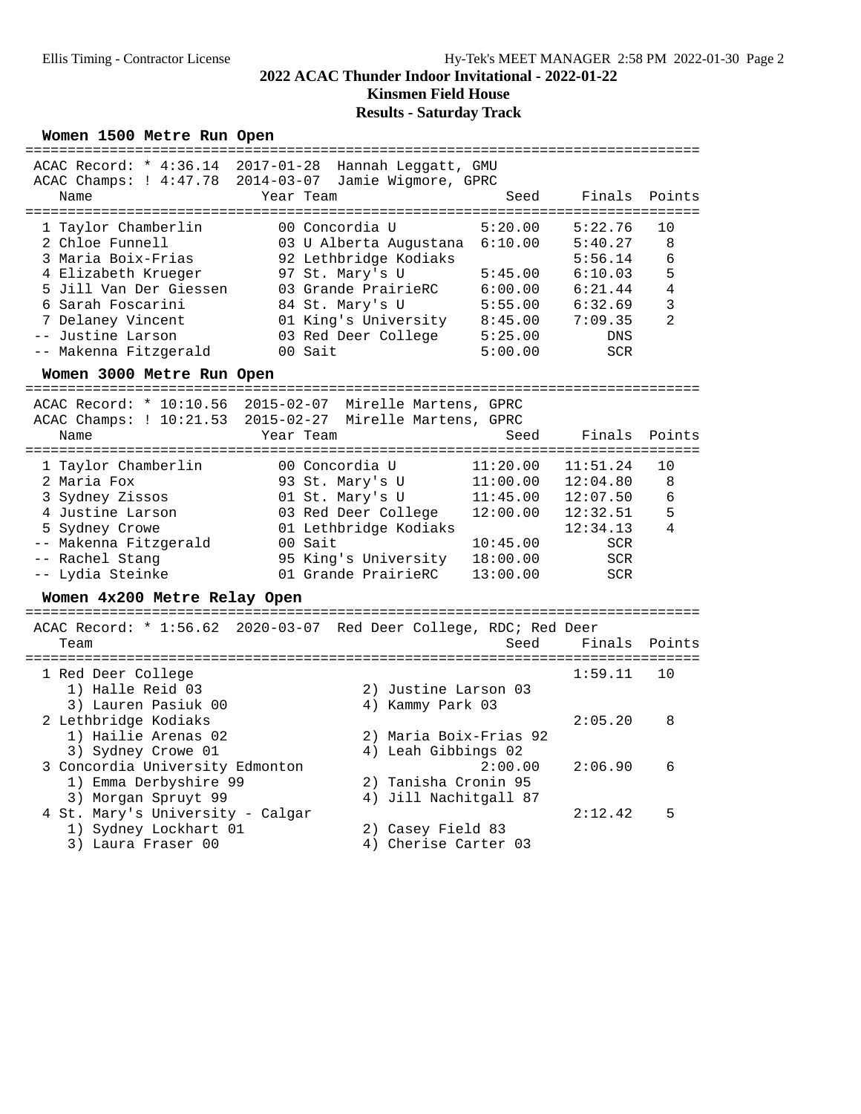**Kinsmen Field House**

## **Results - Saturday Track**

### Women 1500 Metre Run Open

|                                             | ACAC Record: * 4:36.14 2017-01-28 Hannah Leggatt, GMU              |          |                                             |                |
|---------------------------------------------|--------------------------------------------------------------------|----------|---------------------------------------------|----------------|
| Name                                        | ACAC Champs: ! 4:47.78 2014-03-07 Jamie Wigmore, GPRC<br>Year Team | Seed     | Finals                                      | Points         |
|                                             |                                                                    |          |                                             |                |
| 1 Taylor Chamberlin<br>2 Chloe Funnell      | 00 Concordia U                                                     | 5:20.00  | 5:22.76                                     | 10<br>8        |
| 3 Maria Boix-Frias                          | 03 U Alberta Augustana<br>92 Lethbridge Kodiaks                    | 6:10.00  | 5:40.27<br>5:56.14                          | 6              |
| 4 Elizabeth Krueger                         | 97 St. Mary's U                                                    | 5:45.00  | 6:10.03                                     | 5              |
| 5 Jill Van Der Giessen                      | 03 Grande PrairieRC                                                | 6:00.00  | 6:21.44                                     | $\overline{4}$ |
| 6 Sarah Foscarini                           | 84 St. Mary's U                                                    | 5:55.00  | 6:32.69                                     | 3              |
| 7 Delaney Vincent                           | 01 King's University                                               | 8:45.00  | 7:09.35                                     | 2              |
| -- Justine Larson                           | 03 Red Deer College                                                | 5:25.00  | DNS                                         |                |
| -- Makenna Fitzgerald                       | 00 Sait                                                            | 5:00.00  | <b>SCR</b>                                  |                |
| Women 3000 Metre Run Open                   |                                                                    |          |                                             |                |
| ACAC Record: * 10:10.56                     | $2015 - 02 - 07$<br>Mirelle Martens, GPRC                          |          |                                             |                |
| ACAC Champs: ! 10:21.53                     | 2015-02-27 Mirelle Martens, GPRC                                   |          |                                             |                |
| Name                                        | Year Team                                                          | Seed     | Finals                                      | Points         |
| 1 Taylor Chamberlin                         | 00 Concordia U                                                     | 11:20.00 | 11:51.24                                    | 10             |
| 2 Maria Fox                                 | 93 St. Mary's U                                                    | 11:00.00 | 12:04.80                                    | 8              |
| 3 Sydney Zissos                             | 01 St. Mary's U                                                    | 11:45.00 | 12:07.50                                    | 6              |
| 4 Justine Larson                            | 03 Red Deer College                                                | 12:00.00 | 12:32.51                                    | 5              |
| 5 Sydney Crowe                              | 01 Lethbridge Kodiaks                                              |          | 12:34.13                                    | 4              |
| -- Makenna Fitzgerald                       | 00 Sait                                                            | 10:45.00 | SCR.                                        |                |
| -- Rachel Stang                             | 95 King's University                                               | 18:00.00 | <b>SCR</b>                                  |                |
| -- Lydia Steinke                            | 01 Grande PrairieRC                                                | 13:00.00 | <b>SCR</b>                                  |                |
| Women 4x200 Metre Relay Open                |                                                                    |          |                                             |                |
|                                             | ACAC Record: * 1:56.62 2020-03-07 Red Deer College, RDC; Red Deer  |          |                                             |                |
| Team                                        |                                                                    | Seed     | Finals                                      | Points         |
| 1 Red Deer College                          |                                                                    |          | ================================<br>1:59.11 | 10             |
| 1) Halle Reid 03                            | 2) Justine Larson 03                                               |          |                                             |                |
| 3) Lauren Pasiuk 00                         | 4) Kammy Park 03                                                   |          |                                             |                |
| 2 Lethbridge Kodiaks                        |                                                                    |          | 2:05.20                                     | 8              |
| 1) Hailie Arenas 02                         | 2) Maria Boix-Frias 92                                             |          |                                             |                |
| 3) Sydney Crowe 01                          | 4) Leah Gibbings 02                                                |          |                                             |                |
| 3 Concordia University Edmonton             |                                                                    | 2:00.00  | 2:06.90                                     | 6              |
| 1) Emma Derbyshire 99                       | 2) Tanisha Cronin 95                                               |          |                                             |                |
| 3) Morgan Spruyt 99                         | 4) Jill Nachitgall 87                                              |          |                                             |                |
| 4 St. Mary's University - Calgar            |                                                                    |          | 2:12.42                                     | 5              |
| 1) Sydney Lockhart 01<br>3) Laura Fraser 00 | 2) Casey Field 83                                                  |          |                                             |                |
|                                             | 4) Cherise Carter 03                                               |          |                                             |                |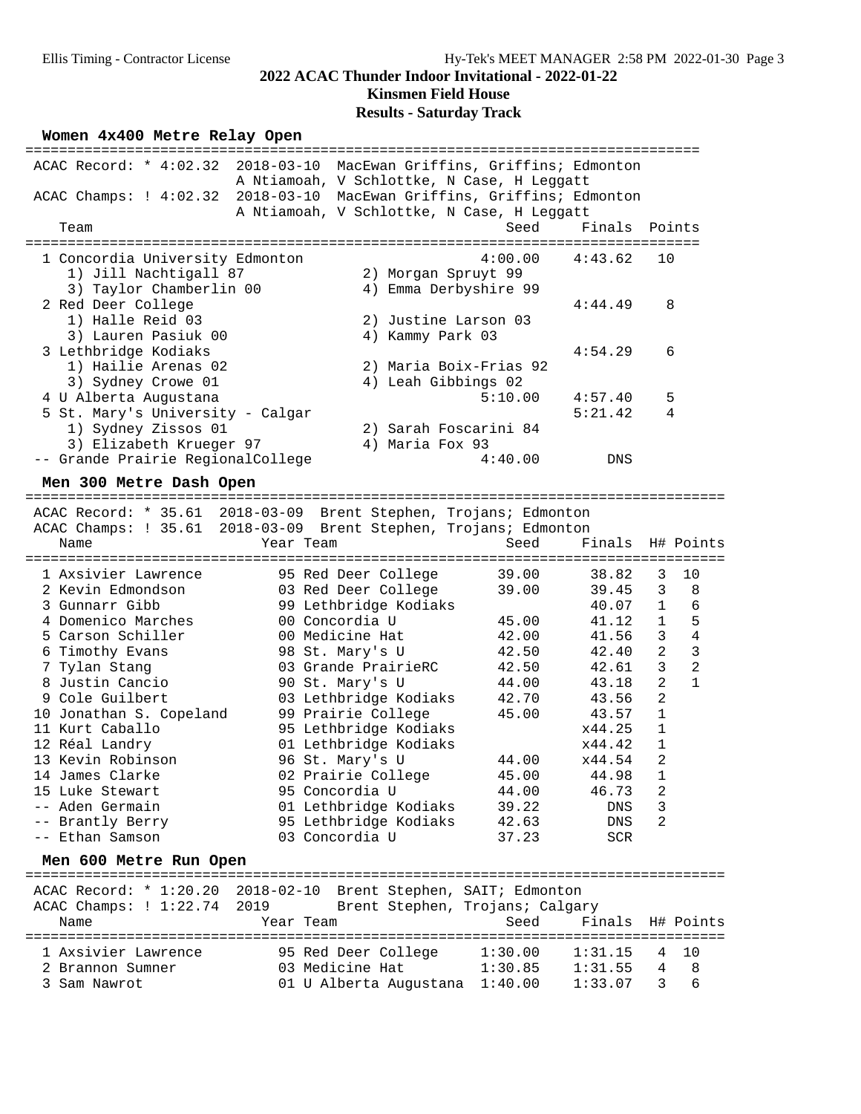### **Kinsmen Field House**

### **Results - Saturday Track**

### Women  $4x400$  Metre Relay Open

| ACAC Record: * 4:02.32 2018-03-10 MacEwan Griffins, Griffins; Edmonton |                                            |               |
|------------------------------------------------------------------------|--------------------------------------------|---------------|
|                                                                        | A Ntiamoah, V Schlottke, N Case, H Leggatt |               |
| ACAC Champs: ! 4:02.32 2018-03-10 MacEwan Griffins, Griffins; Edmonton |                                            |               |
|                                                                        | A Ntiamoah, V Schlottke, N Case, H Leggatt |               |
| Team                                                                   | Seed                                       | Finals Points |
|                                                                        |                                            |               |
| 1 Concordia University Edmonton                                        | $4:00.00$ $4:43.62$                        | 10            |
| 1) Jill Nachtigall 87                                                  | 2) Morgan Spruyt 99                        |               |
| 3) Taylor Chamberlin 00                                                | 4) Emma Derbyshire 99                      |               |
| 2 Red Deer College                                                     |                                            | 8<br>4:44.49  |
| 1) Halle Reid 03                                                       | 2) Justine Larson 03                       |               |
| 3) Lauren Pasiuk 00                                                    | 4) Kammy Park 03                           |               |
| 3 Lethbridge Kodiaks                                                   |                                            | 4:54.29<br>6  |
| 1) Hailie Arenas 02                                                    | 2) Maria Boix-Frias 92                     |               |
| 3) Sydney Crowe 01                                                     | 4) Leah Gibbings 02                        |               |
| 4 U Alberta Augustana                                                  | 5:10.00                                    | 4:57.40<br>5  |
| 5 St. Mary's University - Calgar                                       |                                            | 5:21.42<br>4  |
| 1) Sydney Zissos 01                                                    | 2) Sarah Foscarini 84                      |               |
| 3) Elizabeth Krueger 97                                                | 4) Maria Fox 93                            |               |
| -- Grande Prairie RegionalCollege                                      | 4:40.00                                    | DNS           |

**Men 300 Metre Dash Open** =================================================================================== ACAC Record: \* 35.61 2018-03-09 Brent Stephen, Trojans; Edmonton

ACAC Champs: ! 35.61 2018-03-09 Brent Stephen, Trojans; Edmonton

| Name                    | Year Team             | Seed    | Finals H# Points |                |              |
|-------------------------|-----------------------|---------|------------------|----------------|--------------|
| 1 Axsivier Lawrence     | 95 Red Deer College   | 39.00   | 38.82            | 3              | 10           |
| 2 Kevin Edmondson       | 03 Red Deer College   | 39.00   | 39.45            | 3              | 8            |
| 3 Gunnarr Gibb          | 99 Lethbridge Kodiaks |         | 40.07 1          |                | 6            |
| 4 Domenico Marches      | 00 Concordia U        | 45.00   | 41.12            | $\mathbf{1}$   | 5            |
| 5 Carson Schiller       | 00 Medicine Hat       | 42.00   | 41.56            | 3              | 4            |
| 6 Timothy Evans         | 98 St. Mary's U       | 42.50   | 42.40            | 2              | 3            |
| 7 Tylan Stang           | 03 Grande PrairieRC   | 42.50   | 42.61            | 3              | 2            |
| 8 Justin Cancio         | 90 St. Mary's U       | 44.00   | 43.18            | $\overline{a}$ | $\mathbf{1}$ |
| 9 Cole Guilbert         | 03 Lethbridge Kodiaks | 42.70   | 43.56            | $\overline{2}$ |              |
| 10 Jonathan S. Copeland | 99 Prairie College    | 45.00 % | 43.57            | $\mathbf{1}$   |              |
| 11 Kurt Caballo         | 95 Lethbridge Kodiaks |         | x44.25           | $\mathbf{1}$   |              |
| 12 Réal Landry          | 01 Lethbridge Kodiaks |         | x44.42           | $\mathbf{1}$   |              |
| 13 Kevin Robinson       | 96 St. Mary's U       | 44.00   | x44.54           | 2              |              |
| 14 James Clarke         | 02 Prairie College    | 45.00   | 44.98            | $\mathbf{1}$   |              |
| 15 Luke Stewart         | 95 Concordia U        | 44.00   | 46.73            | $\overline{2}$ |              |
| -- Aden Germain         | 01 Lethbridge Kodiaks | 39.22   | DNS              | 3              |              |
| -- Brantly Berry        | 95 Lethbridge Kodiaks | 42.63   | DNS              | 2              |              |
| -- Ethan Samson         | 03 Concordia U        | 37.23   | <b>SCR</b>       |                |              |
|                         |                       |         |                  |                |              |

**Men 600 Metre Run Open** =================================================================================== ACAC Record: \* 1:20.20 2018-02-10 Brent Stephen, SAIT; Edmonton ACAC Champs: ! 1:22.74 2019 Brent Stephen, Trojans; Calgary Name Year Team Seed Finals H# Points =================================================================================== 1 Axsivier Lawrence 95 Red Deer College 1:30.00 1:31.15 4 10 2 Brannon Sumner 03 Medicine Hat 1:30.85 1:31.55 4 8 3 Sam Nawrot 01 U Alberta Augustana 1:40.00 1:33.07 3 6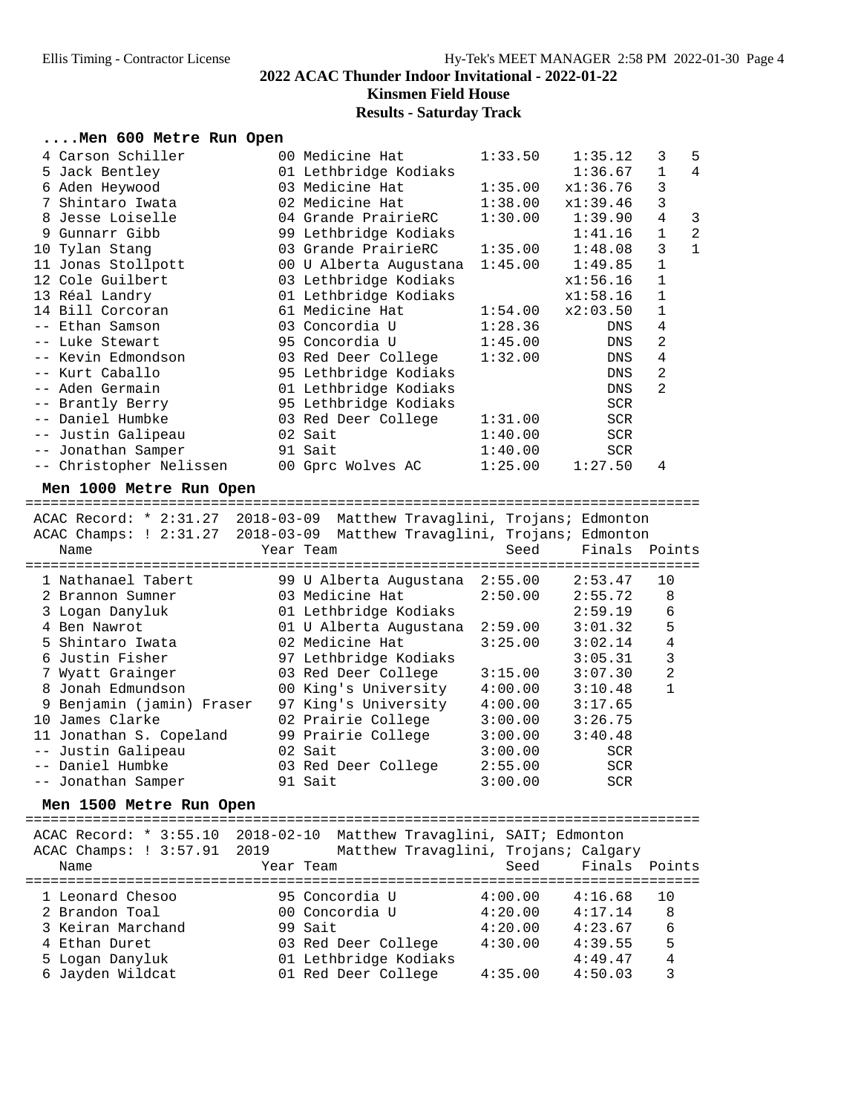**Kinsmen Field House**

### **Results - Saturday Track**

### **....Men 600 Metre Run Open**

|                |                                                                                                                                                                                                                                                                                                                                                                                                                |                                                                                                                                                                                                                                                                                                                                                                                                                 | 1:35.12            | 3                                                                                                                                                             | 5              |
|----------------|----------------------------------------------------------------------------------------------------------------------------------------------------------------------------------------------------------------------------------------------------------------------------------------------------------------------------------------------------------------------------------------------------------------|-----------------------------------------------------------------------------------------------------------------------------------------------------------------------------------------------------------------------------------------------------------------------------------------------------------------------------------------------------------------------------------------------------------------|--------------------|---------------------------------------------------------------------------------------------------------------------------------------------------------------|----------------|
|                |                                                                                                                                                                                                                                                                                                                                                                                                                |                                                                                                                                                                                                                                                                                                                                                                                                                 | 1:36.67            | $\mathbf{1}$                                                                                                                                                  | $\overline{4}$ |
|                |                                                                                                                                                                                                                                                                                                                                                                                                                |                                                                                                                                                                                                                                                                                                                                                                                                                 | x1:36.76           | 3                                                                                                                                                             |                |
| Shintaro Iwata |                                                                                                                                                                                                                                                                                                                                                                                                                |                                                                                                                                                                                                                                                                                                                                                                                                                 | x1:39.46           | 3                                                                                                                                                             |                |
|                |                                                                                                                                                                                                                                                                                                                                                                                                                |                                                                                                                                                                                                                                                                                                                                                                                                                 | 1:39.90            | 4                                                                                                                                                             | 3              |
|                |                                                                                                                                                                                                                                                                                                                                                                                                                |                                                                                                                                                                                                                                                                                                                                                                                                                 | 1:41.16            | $\mathbf 1$                                                                                                                                                   | $\overline{2}$ |
|                |                                                                                                                                                                                                                                                                                                                                                                                                                |                                                                                                                                                                                                                                                                                                                                                                                                                 |                    | $\mathsf{3}$                                                                                                                                                  | $\mathbf{1}$   |
|                |                                                                                                                                                                                                                                                                                                                                                                                                                |                                                                                                                                                                                                                                                                                                                                                                                                                 | 1:49.85            | $\mathbf{1}$                                                                                                                                                  |                |
|                |                                                                                                                                                                                                                                                                                                                                                                                                                |                                                                                                                                                                                                                                                                                                                                                                                                                 | x1:56.16           | 1                                                                                                                                                             |                |
|                |                                                                                                                                                                                                                                                                                                                                                                                                                |                                                                                                                                                                                                                                                                                                                                                                                                                 | x1:58.16           | 1                                                                                                                                                             |                |
|                |                                                                                                                                                                                                                                                                                                                                                                                                                |                                                                                                                                                                                                                                                                                                                                                                                                                 | x2:03.50           | $\mathbf{1}$                                                                                                                                                  |                |
|                |                                                                                                                                                                                                                                                                                                                                                                                                                |                                                                                                                                                                                                                                                                                                                                                                                                                 | DNS                | 4                                                                                                                                                             |                |
|                |                                                                                                                                                                                                                                                                                                                                                                                                                |                                                                                                                                                                                                                                                                                                                                                                                                                 | DNS                | 2                                                                                                                                                             |                |
|                |                                                                                                                                                                                                                                                                                                                                                                                                                |                                                                                                                                                                                                                                                                                                                                                                                                                 | DNS                | 4                                                                                                                                                             |                |
|                |                                                                                                                                                                                                                                                                                                                                                                                                                |                                                                                                                                                                                                                                                                                                                                                                                                                 | DNS                | 2                                                                                                                                                             |                |
|                |                                                                                                                                                                                                                                                                                                                                                                                                                |                                                                                                                                                                                                                                                                                                                                                                                                                 | DNS                | 2                                                                                                                                                             |                |
|                |                                                                                                                                                                                                                                                                                                                                                                                                                |                                                                                                                                                                                                                                                                                                                                                                                                                 | <b>SCR</b>         |                                                                                                                                                               |                |
|                |                                                                                                                                                                                                                                                                                                                                                                                                                | 1:31.00                                                                                                                                                                                                                                                                                                                                                                                                         | <b>SCR</b>         |                                                                                                                                                               |                |
|                |                                                                                                                                                                                                                                                                                                                                                                                                                | 1:40.00                                                                                                                                                                                                                                                                                                                                                                                                         | <b>SCR</b>         |                                                                                                                                                               |                |
|                |                                                                                                                                                                                                                                                                                                                                                                                                                |                                                                                                                                                                                                                                                                                                                                                                                                                 | SCR                |                                                                                                                                                               |                |
|                |                                                                                                                                                                                                                                                                                                                                                                                                                |                                                                                                                                                                                                                                                                                                                                                                                                                 | 1:27.50            | 4                                                                                                                                                             |                |
|                | 4 Carson Schiller<br>5 Jack Bentley<br>6 Aden Heywood<br>8 Jesse Loiselle<br>9 Gunnarr Gibb<br>10 Tylan Stang<br>11 Jonas Stollpott<br>12 Cole Guilbert<br>13 Réal Landry<br>14 Bill Corcoran<br>-- Ethan Samson<br>-- Luke Stewart<br>-- Kevin Edmondson<br>-- Kurt Caballo<br>-- Aden Germain<br>-- Brantly Berry<br>-- Daniel Humbke<br>-- Justin Galipeau<br>-- Jonathan Samper<br>-- Christopher Nelissen | 00 Medicine Hat<br>01 Lethbridge Kodiaks<br>02 Medicine Hat<br>04 Grande PrairieRC<br>99 Lethbridge Kodiaks<br>03 Grande PrairieRC<br>03 Lethbridge Kodiaks<br>01 Lethbridge Kodiaks<br>61 Medicine Hat<br>03 Concordia U<br>95 Concordia U<br>03 Red Deer College<br>95 Lethbridge Kodiaks<br>01 Lethbridge Kodiaks<br>95 Lethbridge Kodiaks<br>03 Red Deer College<br>02 Sait<br>91 Sait<br>00 Gprc Wolves AC | 1:45.00<br>1:32.00 | 1:33.50<br>03 Medicine Hat 1:35.00<br>1:38.00<br>1:30.00<br>$1:35.00$ $1:48.08$<br>00 U Alberta Augustana 1:45.00<br>1:54.00<br>1:28.36<br>1:40.00<br>1:25.00 |                |

**Men 1000 Metre Run Open** ================================================================================ ACAC Record: \* 2:31.27 2018-03-09 Matthew Travaglini, Trojans; Edmonton ACAC Champs: ! 2:31.27 2018-03-09 Matthew Travaglini, Trojans; Edmonton Name Year Team Seed Finals Points ================================================================================ 1 Nathanael Tabert 99 U Alberta Augustana 2:55.00 2:53.47 10 2 Brannon Sumner 03 Medicine Hat 2:50.00 2:55.72 8 3 Logan Danyluk 01 Lethbridge Kodiaks 2:59.19 6 4 Ben Nawrot 01 U Alberta Augustana 2:59.00 3:01.32 5 5 Shintaro Iwata 02 Medicine Hat 3:25.00 3:02.14 4 6 Justin Fisher 97 Lethbridge Kodiaks 3:05.31 3 7 Wyatt Grainger 03 Red Deer College 3:15.00 3:07.30 2 8 Jonah Edmundson 00 King's University 4:00.00 3:10.48 1 9 Benjamin (jamin) Fraser 97 King's University 4:00.00 3:17.65 10 James Clarke 02 Prairie College 3:00.00 3:26.75 11 Jonathan S. Copeland 99 Prairie College 3:00.00 3:40.48 -- Justin Galipeau 02 Sait 3:00.00 SCR -- Daniel Humbke 03 Red Deer College 2:55.00 SCR -- Jonathan Samper 91 Sait 3:00.00 SCR

**Men 1500 Metre Run Open** ================================================================================ ACAC Record: \* 3:55.10 2018-02-10 Matthew Travaglini, SAIT; Edmonton ACAC Champs: ! 3:57.91 2019 Matthew Travaglini, Trojans; Calgary Name Tear Team Seed Finals Points ================================================================================ 1 Leonard Chesoo 95 Concordia U 4:00.00 4:16.68 10 2 Brandon Toal 00 Concordia U 4:20.00 4:17.14 8 3 Keiran Marchand 99 Sait 4:20.00 4:23.67 6 4 Ethan Duret 03 Red Deer College 4:30.00 4:39.55 5 5 Logan Danyluk 01 Lethbridge Kodiaks 4:49.47 4 6 Jayden Wildcat 01 Red Deer College 4:35.00 4:50.03 3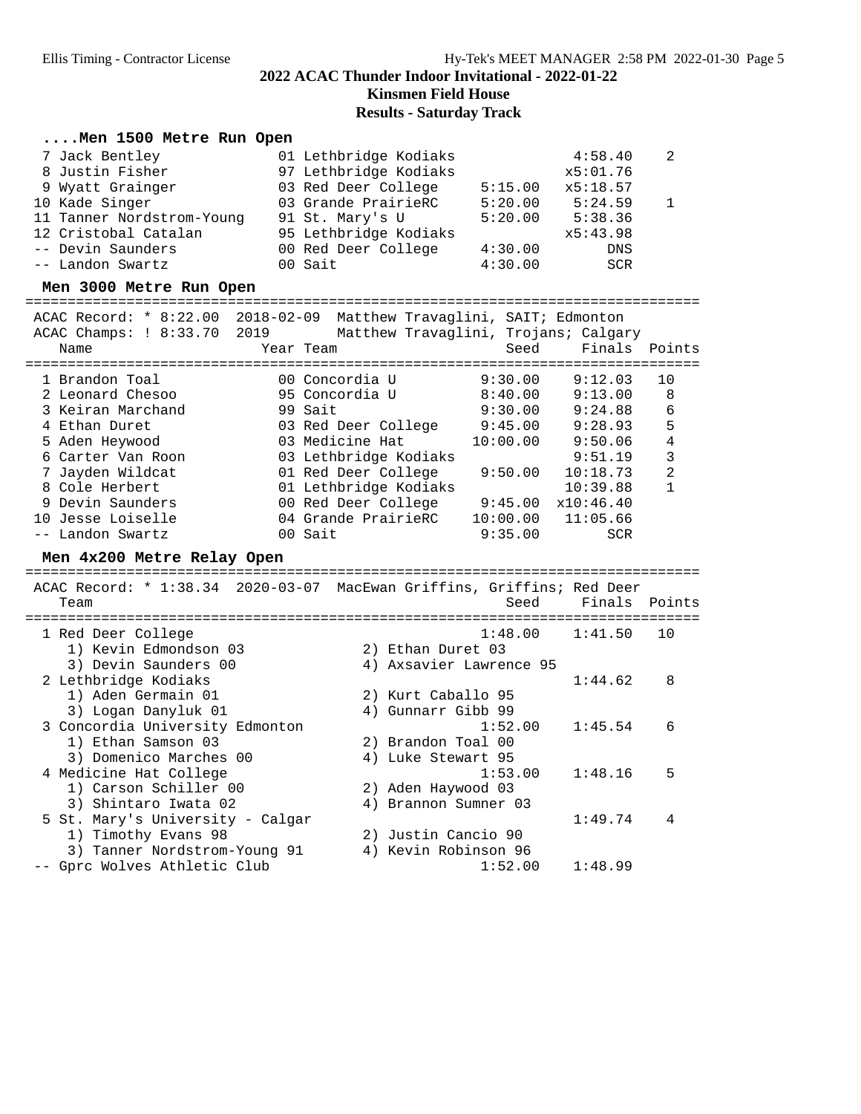**Kinsmen Field House**

### **Results - Saturday Track**

### **....Men 1500 Metre Run Open**

| 7 Jack Bentley            | 01 Lethbridge Kodiaks |         | 4:58.40    | - 2          |
|---------------------------|-----------------------|---------|------------|--------------|
| 8 Justin Fisher           | 97 Lethbridge Kodiaks |         | x5:01.76   |              |
| 9 Wyatt Grainger          | 03 Red Deer College   | 5:15.00 | x5:18.57   |              |
| 10 Kade Singer            | 03 Grande PrairieRC   | 5:20.00 | 5:24.59    | $\mathbf{1}$ |
| 11 Tanner Nordstrom-Young | 91 St. Mary's U       | 5:20.00 | 5:38.36    |              |
| 12 Cristobal Catalan      | 95 Lethbridge Kodiaks |         | x5:43.98   |              |
| -- Devin Saunders         | 00 Red Deer College   | 4:30.00 | <b>DNS</b> |              |
| -- Landon Swartz          | 00 Sait               | 4:30.00 | SCR        |              |

**Men 3000 Metre Run Open** ================================================================================ ACAC Record: \* 8:22.00 2018-02-09 Matthew Travaglini, SAIT; Edmonton

| ALAL RECUIU.<br>O LA CORTE DU | AUIO-UZ-US MALLIIEW IIAVAYIIIII, SAII, EQUUDILUOII |                                      |                       |               |    |
|-------------------------------|----------------------------------------------------|--------------------------------------|-----------------------|---------------|----|
| ACAC Champs: ! 8:33.70 2019   |                                                    | Matthew Travaglini, Trojans; Calgary |                       |               |    |
| Name                          | Year Team                                          |                                      | Seed                  | Finals Points |    |
|                               |                                                    |                                      |                       |               |    |
| 1 Brandon Toal                | 00 Concordia U                                     |                                      | 9:30.00               | 9:12.03       | 10 |
| 2 Leonard Chesoo              | 95 Concordia U                                     |                                      | 8:40.00               | 9:13.00       | 8  |
| 3 Keiran Marchand             | 99 Sait                                            |                                      | 9:30.00               | 9:24.88       | 6  |
| 4 Ethan Duret                 | 03 Red Deer College                                |                                      | 9:45.00               | 9:28.93       | 5  |
| 5 Aden Heywood                | 03 Medicine Hat                                    |                                      | 10:00.00              | 9:50.06       | 4  |
| 6 Carter Van Roon             | 03 Lethbridge Kodiaks                              |                                      |                       | 9:51.19       | 3  |
| 7 Jayden Wildcat              | 01 Red Deer College                                |                                      | 9:50.00               | 10:18.73      | 2  |
| 8 Cole Herbert                | 01 Lethbridge Kodiaks                              |                                      |                       | 10:39.88      |    |
| 9 Devin Saunders              | 00 Red Deer College                                |                                      | 9:45.00               | x10:46.40     |    |
| 10 Jesse Loiselle             | 04 Grande PrairieRC                                |                                      | $10:00.00$ $11:05.66$ |               |    |
| -- Landon Swartz              | 00 Sait                                            |                                      | 9:35.00               | <b>SCR</b>    |    |
|                               |                                                    |                                      |                       |               |    |

**Men 4x200 Metre Relay Open** ================================================================================ ACAC Record: \* 1:38.34 2020-03-07 MacEwan Griffins, Griffins; Red Deer Team Seed Finals Points ================================================================================ 1 Red Deer College 1:48.00 1:41.50 10 1) Kevin Edmondson 03 2) Ethan Duret 03 3) Devin Saunders 00 4) Axsavier Lawrence 95 2 Lethbridge Kodiaks 1:44.62 8 1) Aden Germain 01 2) Kurt Caballo 95 3) Logan Danyluk 01 4) Gunnarr Gibb 99 3 Concordia University Edmonton 1:52.00 1:45.54 6 1) Ethan Samson 03 2) Brandon Toal 00 3) Domenico Marches 00  $\hspace{1cm}$  4) Luke Stewart 95 4 Medicine Hat College 1:53.00 1:48.16 5 1) Carson Schiller 00 2) Aden Haywood 03 1.33.00<br>
3) Shintaro Iwata 02 4) Brannon Sumner 03<br>
5 St. Mary's University - Calgar<br>
4) Brannon Sumner 03 5 St. Mary's University - Calgar 1:49.74 4 1) Timothy Evans 98 2) Justin Cancio 90 3) Tanner Nordstrom-Young 91 4) Kevin Robinson 96 -- Gprc Wolves Athletic Club 1:52.00 1:48.99